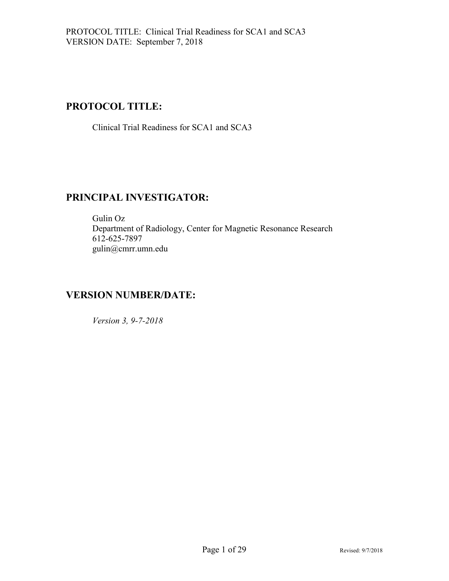## **PROTOCOL TITLE:**

Clinical Trial Readiness for SCA1 and SCA3

## **PRINCIPAL INVESTIGATOR:**

Gulin Oz Department of Radiology, Center for Magnetic Resonance Research 612-625-7897 gulin@cmrr.umn.edu

## **VERSION NUMBER/DATE:**

*Version 3, 9-7-2018*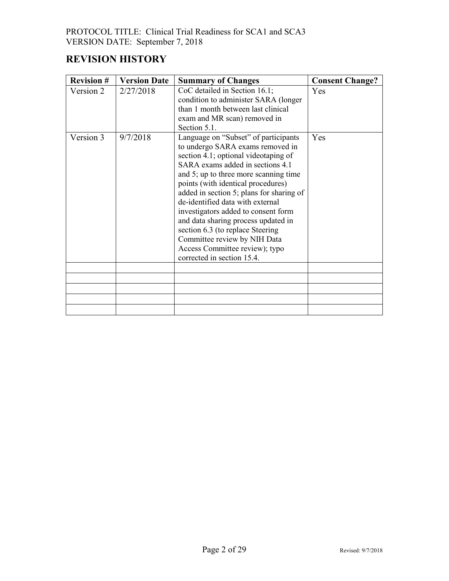# **REVISION HISTORY**

| <b>Revision #</b> | <b>Version Date</b> | <b>Summary of Changes</b>                                                                                                                                                                                                                                                                                                                                                                                                                                                                                                             | <b>Consent Change?</b> |
|-------------------|---------------------|---------------------------------------------------------------------------------------------------------------------------------------------------------------------------------------------------------------------------------------------------------------------------------------------------------------------------------------------------------------------------------------------------------------------------------------------------------------------------------------------------------------------------------------|------------------------|
| Version 2         | 2/27/2018           | CoC detailed in Section 16.1;<br>condition to administer SARA (longer<br>than 1 month between last clinical<br>exam and MR scan) removed in<br>Section 5.1.                                                                                                                                                                                                                                                                                                                                                                           | Yes                    |
| Version 3         | 9/7/2018            | Language on "Subset" of participants<br>to undergo SARA exams removed in<br>section 4.1; optional videotaping of<br>SARA exams added in sections 4.1<br>and 5; up to three more scanning time<br>points (with identical procedures)<br>added in section 5; plans for sharing of<br>de-identified data with external<br>investigators added to consent form<br>and data sharing process updated in<br>section 6.3 (to replace Steering<br>Committee review by NIH Data<br>Access Committee review); typo<br>corrected in section 15.4. | Yes                    |
|                   |                     |                                                                                                                                                                                                                                                                                                                                                                                                                                                                                                                                       |                        |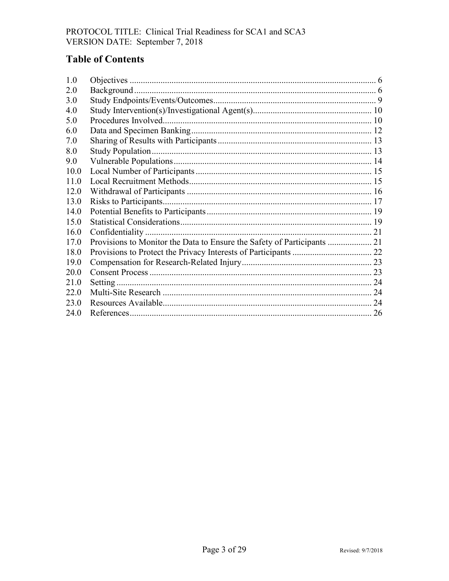# **Table of Contents**

| 1.0  |  |
|------|--|
| 2.0  |  |
| 3.0  |  |
| 4.0  |  |
| 5.0  |  |
| 6.0  |  |
| 7.0  |  |
| 8.0  |  |
| 9.0  |  |
| 10.0 |  |
| 11.0 |  |
| 12.0 |  |
| 13.0 |  |
| 14.0 |  |
| 15.0 |  |
| 16.0 |  |
| 17.0 |  |
| 18.0 |  |
| 19.0 |  |
| 20.0 |  |
| 21.0 |  |
| 22.0 |  |
| 23.0 |  |
| 24.0 |  |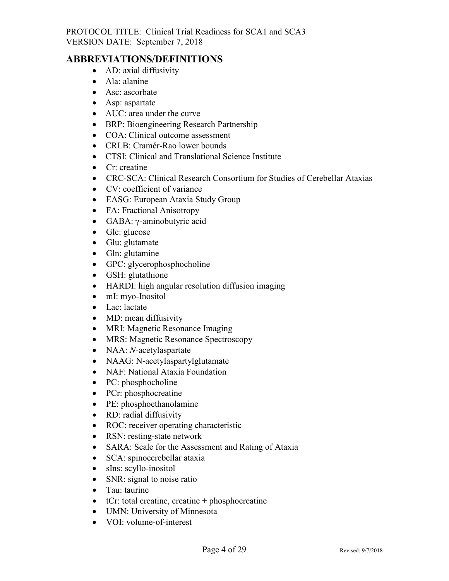#### **ABBREVIATIONS/DEFINITIONS**

- AD: axial diffusivity
- Ala: alanine
- Asc: ascorbate
- Asp: aspartate
- AUC: area under the curve
- BRP: Bioengineering Research Partnership
- COA: Clinical outcome assessment
- CRLB: Cramér-Rao lower bounds
- CTSI: Clinical and Translational Science Institute
- Cr: creatine
- CRC-SCA: Clinical Research Consortium for Studies of Cerebellar Ataxias
- CV: coefficient of variance
- EASG: European Ataxia Study Group
- FA: Fractional Anisotropy
- GABA: γ-aminobutyric acid
- Glc: glucose
- Glu: glutamate
- Gln: glutamine
- GPC: glycerophosphocholine
- GSH: glutathione
- HARDI: high angular resolution diffusion imaging
- mI: myo-Inositol
- Lac: lactate
- MD: mean diffusivity
- MRI: Magnetic Resonance Imaging
- MRS: Magnetic Resonance Spectroscopy
- NAA: *N*-acetylaspartate
- NAAG: N-acetylaspartylglutamate
- NAF: National Ataxia Foundation
- PC: phosphocholine
- PCr: phosphocreatine
- PE: phosphoethanolamine
- RD: radial diffusivity
- ROC: receiver operating characteristic
- RSN: resting-state network
- SARA: Scale for the Assessment and Rating of Ataxia
- SCA: spinocerebellar ataxia
- sIns: scyllo-inositol
- SNR: signal to noise ratio
- Tau: taurine
- $\bullet$  tCr: total creatine, creatine + phosphocreatine
- UMN: University of Minnesota
- VOI: volume-of-interest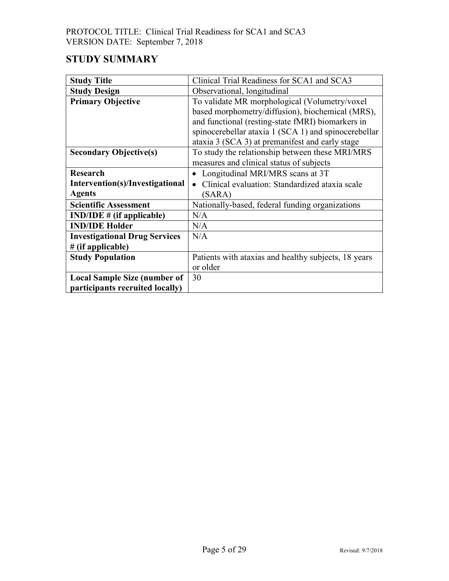# **STUDY SUMMARY**

| <b>Study Title</b>                   | Clinical Trial Readiness for SCA1 and SCA3           |
|--------------------------------------|------------------------------------------------------|
| <b>Study Design</b>                  | Observational, longitudinal                          |
| <b>Primary Objective</b>             | To validate MR morphological (Volumetry/voxel        |
|                                      | based morphometry/diffusion), biochemical (MRS),     |
|                                      | and functional (resting-state fMRI) biomarkers in    |
|                                      | spinocerebellar ataxia 1 (SCA 1) and spinocerebellar |
|                                      | ataxia 3 (SCA 3) at premanifest and early stage      |
| <b>Secondary Objective(s)</b>        | To study the relationship between these MRI/MRS      |
|                                      | measures and clinical status of subjects             |
| <b>Research</b>                      | Longitudinal MRI/MRS scans at 3T                     |
| Intervention(s)/Investigational      | Clinical evaluation: Standardized ataxia scale       |
| <b>Agents</b>                        | (SARA)                                               |
| <b>Scientific Assessment</b>         | Nationally-based, federal funding organizations      |
| $IND/IDE \# (if applicable)$         | N/A                                                  |
| <b>IND/IDE Holder</b>                | N/A                                                  |
| <b>Investigational Drug Services</b> | N/A                                                  |
| $#$ (if applicable)                  |                                                      |
| <b>Study Population</b>              | Patients with ataxias and healthy subjects, 18 years |
|                                      | or older                                             |
| <b>Local Sample Size (number of</b>  | 30                                                   |
| participants recruited locally)      |                                                      |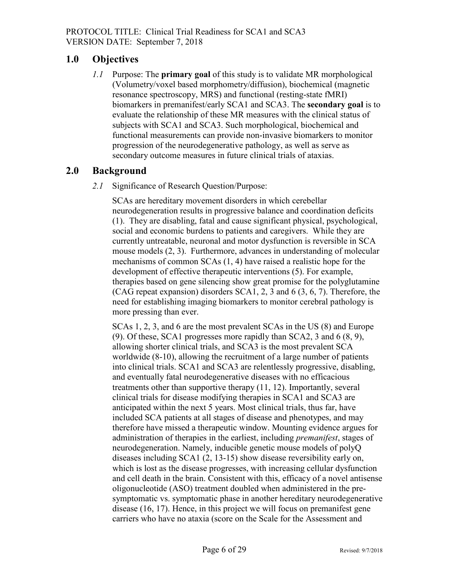## <span id="page-5-0"></span>**1.0 Objectives**

*1.1* Purpose: The **primary goal** of this study is to validate MR morphological (Volumetry/voxel based morphometry/diffusion), biochemical (magnetic resonance spectroscopy, MRS) and functional (resting-state fMRI) biomarkers in premanifest/early SCA1 and SCA3. The **secondary goal** is to evaluate the relationship of these MR measures with the clinical status of subjects with SCA1 and SCA3. Such morphological, biochemical and functional measurements can provide non-invasive biomarkers to monitor progression of the neurodegenerative pathology, as well as serve as secondary outcome measures in future clinical trials of ataxias.

## <span id="page-5-1"></span>**2.0 Background**

*2.1* Significance of Research Question/Purpose:

SCAs are hereditary movement disorders in which cerebellar neurodegeneration results in progressive balance and coordination deficits (1). They are disabling, fatal and cause significant physical, psychological, social and economic burdens to patients and caregivers. While they are currently untreatable, neuronal and motor dysfunction is reversible in SCA mouse models (2, 3). Furthermore, advances in understanding of molecular mechanisms of common SCAs (1, 4) have raised a realistic hope for the development of effective therapeutic interventions (5). For example, therapies based on gene silencing show great promise for the polyglutamine (CAG repeat expansion) disorders SCA1, 2, 3 and 6 (3, 6, 7). Therefore, the need for establishing imaging biomarkers to monitor cerebral pathology is more pressing than ever.

SCAs 1, 2, 3, and 6 are the most prevalent SCAs in the US (8) and Europe (9). Of these, SCA1 progresses more rapidly than SCA2, 3 and 6 (8, 9), allowing shorter clinical trials, and SCA3 is the most prevalent SCA worldwide (8-10), allowing the recruitment of a large number of patients into clinical trials. SCA1 and SCA3 are relentlessly progressive, disabling, and eventually fatal neurodegenerative diseases with no efficacious treatments other than supportive therapy (11, 12). Importantly, several clinical trials for disease modifying therapies in SCA1 and SCA3 are anticipated within the next 5 years. Most clinical trials, thus far, have included SCA patients at all stages of disease and phenotypes, and may therefore have missed a therapeutic window. Mounting evidence argues for administration of therapies in the earliest, including *premanifest*, stages of neurodegeneration. Namely, inducible genetic mouse models of polyQ diseases including SCA1 (2, 13-15) show disease reversibility early on, which is lost as the disease progresses, with increasing cellular dysfunction and cell death in the brain. Consistent with this, efficacy of a novel antisense oligonucleotide (ASO) treatment doubled when administered in the presymptomatic vs. symptomatic phase in another hereditary neurodegenerative disease (16, 17). Hence, in this project we will focus on premanifest gene carriers who have no ataxia (score on the Scale for the Assessment and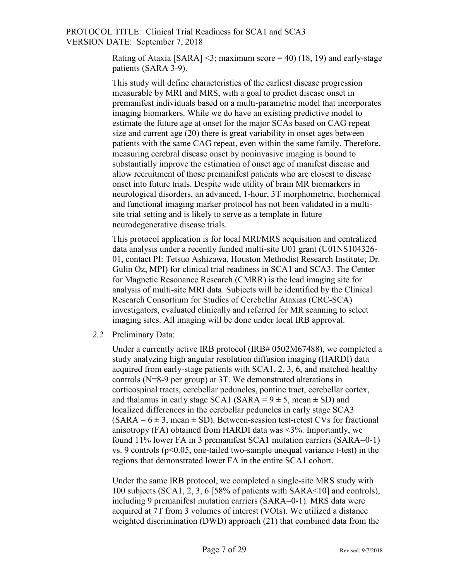Rating of Ataxia [SARA] <3; maximum score = 40) (18, 19) and early-stage patients (SARA 3-9).

This study will define characteristics of the earliest disease progression measurable by MRI and MRS, with a goal to predict disease onset in premanifest individuals based on a multi-parametric model that incorporates imaging biomarkers. While we do have an existing predictive model to estimate the future age at onset for the major SCAs based on CAG repeat size and current age (20) there is great variability in onset ages between patients with the same CAG repeat, even within the same family. Therefore, measuring cerebral disease onset by noninvasive imaging is bound to substantially improve the estimation of onset age of manifest disease and allow recruitment of those premanifest patients who are closest to disease onset into future trials. Despite wide utility of brain MR biomarkers in neurological disorders, an advanced, 1-hour, 3T morphometric, biochemical and functional imaging marker protocol has not been validated in a multisite trial setting and is likely to serve as a template in future neurodegenerative disease trials.

This protocol application is for local MRI/MRS acquisition and centralized data analysis under a recently funded multi-site U01 grant (U01NS104326- 01, contact PI: Tetsuo Ashizawa, Houston Methodist Research Institute; Dr. Gulin Oz, MPI) for clinical trial readiness in SCA1 and SCA3. The Center for Magnetic Resonance Research (CMRR) is the lead imaging site for analysis of multi-site MRI data. Subjects will be identified by the Clinical Research Consortium for Studies of Cerebellar Ataxias (CRC-SCA) investigators, evaluated clinically and referred for MR scanning to select imaging sites. All imaging will be done under local IRB approval.

*2.2* Preliminary Data:

Under a currently active IRB protocol (IRB# 0502M67488), we completed a study analyzing high angular resolution diffusion imaging (HARDI) data acquired from early-stage patients with SCA1, 2, 3, 6, and matched healthy controls (N=8-9 per group) at 3T. We demonstrated alterations in corticospinal tracts, cerebellar peduncles, pontine tract, cerebellar cortex, and thalamus in early stage SCA1 (SARA =  $9 \pm 5$ , mean  $\pm$  SD) and localized differences in the cerebellar peduncles in early stage SCA3  $(SARA = 6 \pm 3$ , mean  $\pm$  SD). Between-session test-retest CVs for fractional anisotropy (FA) obtained from HARDI data was  $\leq$ 3%. Importantly, we found 11% lower FA in 3 premanifest SCA1 mutation carriers (SARA=0-1) vs. 9 controls ( $p<0.05$ , one-tailed two-sample unequal variance t-test) in the regions that demonstrated lower FA in the entire SCA1 cohort.

Under the same IRB protocol, we completed a single-site MRS study with 100 subjects (SCA1, 2, 3, 6 [58% of patients with SARA<10] and controls), including 9 premanifest mutation carriers (SARA=0-1). MRS data were acquired at 7T from 3 volumes of interest (VOIs). We utilized a distance weighted discrimination (DWD) approach (21) that combined data from the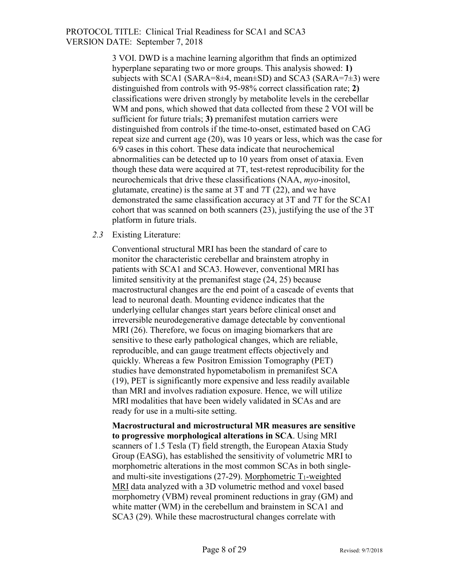3 VOI. DWD is a machine learning algorithm that finds an optimized hyperplane separating two or more groups. This analysis showed: **1)** subjects with SCA1 (SARA=8 $\pm$ 4, mean $\pm$ SD) and SCA3 (SARA=7 $\pm$ 3) were distinguished from controls with 95-98% correct classification rate; **2)** classifications were driven strongly by metabolite levels in the cerebellar WM and pons, which showed that data collected from these 2 VOI will be sufficient for future trials; **3)** premanifest mutation carriers were distinguished from controls if the time-to-onset, estimated based on CAG repeat size and current age (20), was 10 years or less, which was the case for 6/9 cases in this cohort. These data indicate that neurochemical abnormalities can be detected up to 10 years from onset of ataxia. Even though these data were acquired at 7T, test-retest reproducibility for the neurochemicals that drive these classifications (NAA, *myo*-inositol, glutamate, creatine) is the same at 3T and 7T (22), and we have demonstrated the same classification accuracy at 3T and 7T for the SCA1 cohort that was scanned on both scanners (23), justifying the use of the 3T platform in future trials.

#### *2.3* Existing Literature:

Conventional structural MRI has been the standard of care to monitor the characteristic cerebellar and brainstem atrophy in patients with SCA1 and SCA3. However, conventional MRI has limited sensitivity at the premanifest stage (24, 25) because macrostructural changes are the end point of a cascade of events that lead to neuronal death. Mounting evidence indicates that the underlying cellular changes start years before clinical onset and irreversible neurodegenerative damage detectable by conventional MRI (26). Therefore, we focus on imaging biomarkers that are sensitive to these early pathological changes, which are reliable, reproducible, and can gauge treatment effects objectively and quickly. Whereas a few Positron Emission Tomography (PET) studies have demonstrated hypometabolism in premanifest SCA (19), PET is significantly more expensive and less readily available than MRI and involves radiation exposure. Hence, we will utilize MRI modalities that have been widely validated in SCAs and are ready for use in a multi-site setting.

**Macrostructural and microstructural MR measures are sensitive to progressive morphological alterations in SCA**. Using MRI scanners of 1.5 Tesla (T) field strength, the European Ataxia Study Group (EASG), has established the sensitivity of volumetric MRI to morphometric alterations in the most common SCAs in both singleand multi-site investigations  $(27-29)$ . Morphometric T<sub>1</sub>-weighted MRI data analyzed with a 3D volumetric method and voxel based morphometry (VBM) reveal prominent reductions in gray (GM) and white matter (WM) in the cerebellum and brainstem in SCA1 and SCA3 (29). While these macrostructural changes correlate with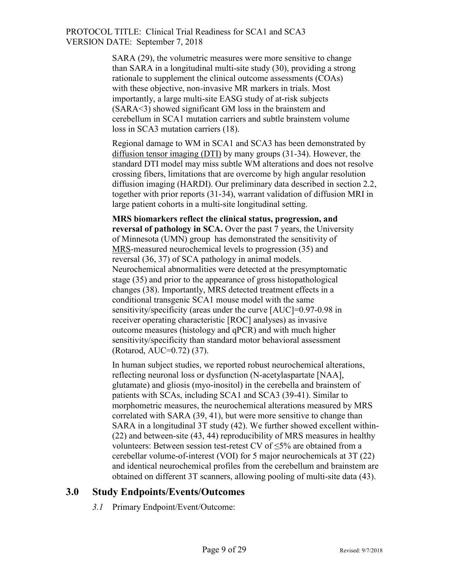> SARA (29), the volumetric measures were more sensitive to change than SARA in a longitudinal multi-site study (30), providing a strong rationale to supplement the clinical outcome assessments (COAs) with these objective, non-invasive MR markers in trials. Most importantly, a large multi-site EASG study of at-risk subjects (SARA<3) showed significant GM loss in the brainstem and cerebellum in SCA1 mutation carriers and subtle brainstem volume loss in SCA3 mutation carriers (18).

Regional damage to WM in SCA1 and SCA3 has been demonstrated by diffusion tensor imaging (DTI) by many groups (31-34). However, the standard DTI model may miss subtle WM alterations and does not resolve crossing fibers, limitations that are overcome by high angular resolution diffusion imaging (HARDI). Our preliminary data described in section 2.2, together with prior reports (31-34), warrant validation of diffusion MRI in large patient cohorts in a multi-site longitudinal setting.

**MRS biomarkers reflect the clinical status, progression, and reversal of pathology in SCA.** Over the past 7 years, the University of Minnesota (UMN) group has demonstrated the sensitivity of MRS-measured neurochemical levels to progression (35) and reversal (36, 37) of SCA pathology in animal models. Neurochemical abnormalities were detected at the presymptomatic stage (35) and prior to the appearance of gross histopathological changes (38). Importantly, MRS detected treatment effects in a conditional transgenic SCA1 mouse model with the same sensitivity/specificity (areas under the curve [AUC]=0.97-0.98 in receiver operating characteristic [ROC] analyses) as invasive outcome measures (histology and qPCR) and with much higher sensitivity/specificity than standard motor behavioral assessment (Rotarod, AUC=0.72) (37).

In human subject studies, we reported robust neurochemical alterations, reflecting neuronal loss or dysfunction (N-acetylaspartate [NAA], glutamate) and gliosis (myo-inositol) in the cerebella and brainstem of patients with SCAs, including SCA1 and SCA3 (39-41). Similar to morphometric measures, the neurochemical alterations measured by MRS correlated with SARA (39, 41), but were more sensitive to change than SARA in a longitudinal 3T study (42). We further showed excellent within- (22) and between-site (43, 44) reproducibility of MRS measures in healthy volunteers: Between session test-retest CV of  $\leq$ 5% are obtained from a cerebellar volume-of-interest (VOI) for 5 major neurochemicals at 3T (22) and identical neurochemical profiles from the cerebellum and brainstem are obtained on different 3T scanners, allowing pooling of multi-site data (43).

#### <span id="page-8-0"></span>**3.0 Study Endpoints/Events/Outcomes**

*3.1* Primary Endpoint/Event/Outcome: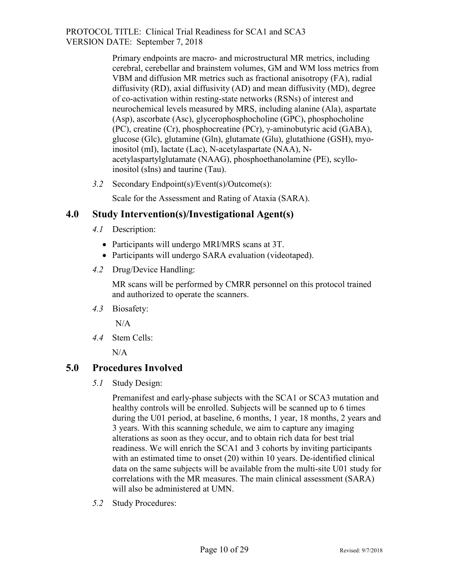> Primary endpoints are macro- and microstructural MR metrics, including cerebral, cerebellar and brainstem volumes, GM and WM loss metrics from VBM and diffusion MR metrics such as fractional anisotropy (FA), radial diffusivity (RD), axial diffusivity (AD) and mean diffusivity (MD), degree of co-activation within resting-state networks (RSNs) of interest and neurochemical levels measured by MRS, including alanine (Ala), aspartate (Asp), ascorbate (Asc), glycerophosphocholine (GPC), phosphocholine (PC), creatine (Cr), phosphocreatine (PCr), γ-aminobutyric acid (GABA), glucose (Glc), glutamine (Gln), glutamate (Glu), glutathione (GSH), myoinositol (mI), lactate (Lac), N-acetylaspartate (NAA), Nacetylaspartylglutamate (NAAG), phosphoethanolamine (PE), scylloinositol (sIns) and taurine (Tau).

*3.2* Secondary Endpoint(s)/Event(s)/Outcome(s):

Scale for the Assessment and Rating of Ataxia (SARA).

#### <span id="page-9-0"></span>**4.0 Study Intervention(s)/Investigational Agent(s)**

- *4.1* Description:
	- Participants will undergo MRI/MRS scans at 3T.
	- Participants will undergo SARA evaluation (videotaped).
- *4.2* Drug/Device Handling:

MR scans will be performed by CMRR personnel on this protocol trained and authorized to operate the scanners.

*4.3* Biosafety:

N/A

*4.4* Stem Cells:

 $N/A$ 

#### <span id="page-9-1"></span>**5.0 Procedures Involved**

*5.1* Study Design:

Premanifest and early-phase subjects with the SCA1 or SCA3 mutation and healthy controls will be enrolled. Subjects will be scanned up to 6 times during the U01 period, at baseline, 6 months, 1 year, 18 months, 2 years and 3 years. With this scanning schedule, we aim to capture any imaging alterations as soon as they occur, and to obtain rich data for best trial readiness. We will enrich the SCA1 and 3 cohorts by inviting participants with an estimated time to onset (20) within 10 years. De-identified clinical data on the same subjects will be available from the multi-site U01 study for correlations with the MR measures. The main clinical assessment (SARA) will also be administered at UMN.

*5.2* Study Procedures: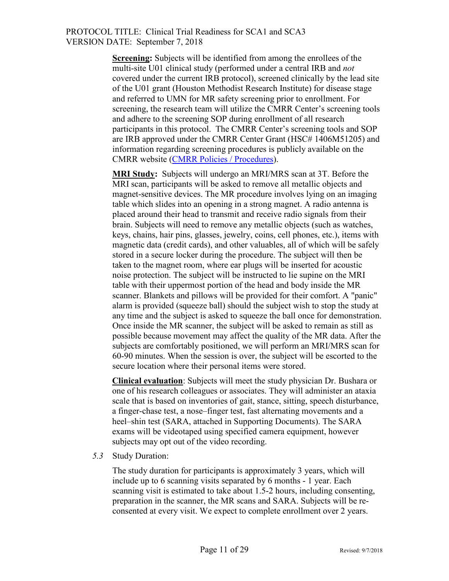**Screening:** Subjects will be identified from among the enrollees of the multi-site U01 clinical study (performed under a central IRB and *not*  covered under the current IRB protocol), screened clinically by the lead site of the U01 grant (Houston Methodist Research Institute) for disease stage and referred to UMN for MR safety screening prior to enrollment. For screening, the research team will utilize the CMRR Center's screening tools and adhere to the screening SOP during enrollment of all research participants in this protocol. The CMRR Center's screening tools and SOP are IRB approved under the CMRR Center Grant (HSC# 1406M51205) and information regarding screening procedures is publicly available on the CMRR website [\(CMRR Policies / Procedures\)](https://www.cmrr.umn.edu/policies/).

**MRI Study:** Subjects will undergo an MRI/MRS scan at 3T. Before the MRI scan, participants will be asked to remove all metallic objects and magnet-sensitive devices. The MR procedure involves lying on an imaging table which slides into an opening in a strong magnet. A radio antenna is placed around their head to transmit and receive radio signals from their brain. Subjects will need to remove any metallic objects (such as watches, keys, chains, hair pins, glasses, jewelry, coins, cell phones, etc.), items with magnetic data (credit cards), and other valuables, all of which will be safely stored in a secure locker during the procedure. The subject will then be taken to the magnet room, where ear plugs will be inserted for acoustic noise protection. The subject will be instructed to lie supine on the MRI table with their uppermost portion of the head and body inside the MR scanner. Blankets and pillows will be provided for their comfort. A "panic" alarm is provided (squeeze ball) should the subject wish to stop the study at any time and the subject is asked to squeeze the ball once for demonstration. Once inside the MR scanner, the subject will be asked to remain as still as possible because movement may affect the quality of the MR data. After the subjects are comfortably positioned, we will perform an MRI/MRS scan for 60-90 minutes. When the session is over, the subject will be escorted to the secure location where their personal items were stored.

**Clinical evaluation**: Subjects will meet the study physician Dr. Bushara or one of his research colleagues or associates. They will administer an ataxia scale that is based on inventories of gait, stance, sitting, speech disturbance, a finger-chase test, a nose–finger test, fast alternating movements and a heel–shin test (SARA, attached in Supporting Documents). The SARA exams will be videotaped using specified camera equipment, however subjects may opt out of the video recording.

*5.3* Study Duration:

The study duration for participants is approximately 3 years, which will include up to 6 scanning visits separated by 6 months - 1 year. Each scanning visit is estimated to take about 1.5-2 hours, including consenting, preparation in the scanner, the MR scans and SARA. Subjects will be reconsented at every visit. We expect to complete enrollment over 2 years.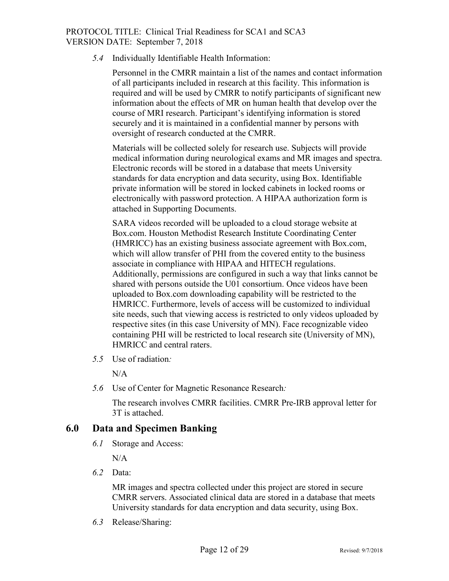*5.4* Individually Identifiable Health Information:

Personnel in the CMRR maintain a list of the names and contact information of all participants included in research at this facility. This information is required and will be used by CMRR to notify participants of significant new information about the effects of MR on human health that develop over the course of MRI research. Participant's identifying information is stored securely and it is maintained in a confidential manner by persons with oversight of research conducted at the CMRR.

Materials will be collected solely for research use. Subjects will provide medical information during neurological exams and MR images and spectra. Electronic records will be stored in a database that meets University standards for data encryption and data security, using Box. Identifiable private information will be stored in locked cabinets in locked rooms or electronically with password protection. A HIPAA authorization form is attached in Supporting Documents.

SARA videos recorded will be uploaded to a cloud storage website at Box.com. Houston Methodist Research Institute Coordinating Center (HMRICC) has an existing business associate agreement with Box.com, which will allow transfer of PHI from the covered entity to the business associate in compliance with HIPAA and HITECH regulations. Additionally, permissions are configured in such a way that links cannot be shared with persons outside the U01 consortium. Once videos have been uploaded to Box.com downloading capability will be restricted to the HMRICC. Furthermore, levels of access will be customized to individual site needs, such that viewing access is restricted to only videos uploaded by respective sites (in this case University of MN). Face recognizable video containing PHI will be restricted to local research site (University of MN), HMRICC and central raters.

*5.5* Use of radiation*:* 

 $N/A$ 

*5.6* Use of Center for Magnetic Resonance Research*:*

The research involves CMRR facilities. CMRR Pre-IRB approval letter for 3T is attached.

#### <span id="page-11-0"></span>**6.0 Data and Specimen Banking**

*6.1* Storage and Access:

 $N/A$ 

*6.2* Data:

MR images and spectra collected under this project are stored in secure CMRR servers. Associated clinical data are stored in a database that meets University standards for data encryption and data security, using Box.

*6.3* Release/Sharing: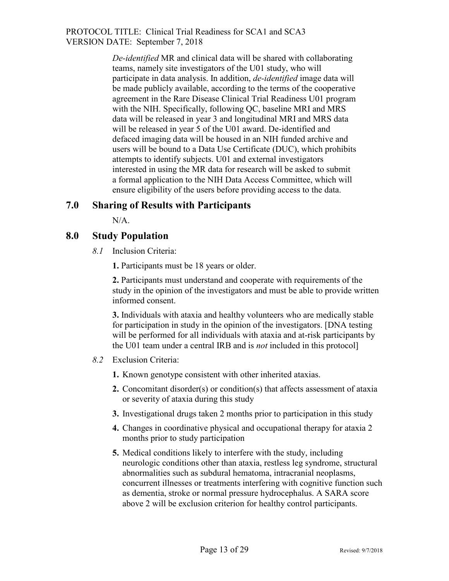> *De-identified* MR and clinical data will be shared with collaborating teams, namely site investigators of the U01 study, who will participate in data analysis. In addition, *de-identified* image data will be made publicly available, according to the terms of the cooperative agreement in the Rare Disease Clinical Trial Readiness U01 program with the NIH. Specifically, following QC, baseline MRI and MRS data will be released in year 3 and longitudinal MRI and MRS data will be released in year 5 of the U01 award. De-identified and defaced imaging data will be housed in an NIH funded archive and users will be bound to a Data Use Certificate (DUC), which prohibits attempts to identify subjects. U01 and external investigators interested in using the MR data for research will be asked to submit a formal application to the NIH Data Access Committee, which will ensure eligibility of the users before providing access to the data.

#### <span id="page-12-0"></span>**7.0 Sharing of Results with Participants**

N/A.

#### <span id="page-12-1"></span>**8.0 Study Population**

*8.1* Inclusion Criteria:

**1.** Participants must be 18 years or older.

**2.** Participants must understand and cooperate with requirements of the study in the opinion of the investigators and must be able to provide written informed consent.

**3.** Individuals with ataxia and healthy volunteers who are medically stable for participation in study in the opinion of the investigators. [DNA testing will be performed for all individuals with ataxia and at-risk participants by the U01 team under a central IRB and is *not* included in this protocol]

- *8.2* Exclusion Criteria:
	- **1.** Known genotype consistent with other inherited ataxias.
	- **2.** Concomitant disorder(s) or condition(s) that affects assessment of ataxia or severity of ataxia during this study
	- **3.** Investigational drugs taken 2 months prior to participation in this study
	- **4.** Changes in coordinative physical and occupational therapy for ataxia 2 months prior to study participation
	- **5.** Medical conditions likely to interfere with the study, including neurologic conditions other than ataxia, restless leg syndrome, structural abnormalities such as subdural hematoma, intracranial neoplasms, concurrent illnesses or treatments interfering with cognitive function such as dementia, stroke or normal pressure hydrocephalus. A SARA score above 2 will be exclusion criterion for healthy control participants.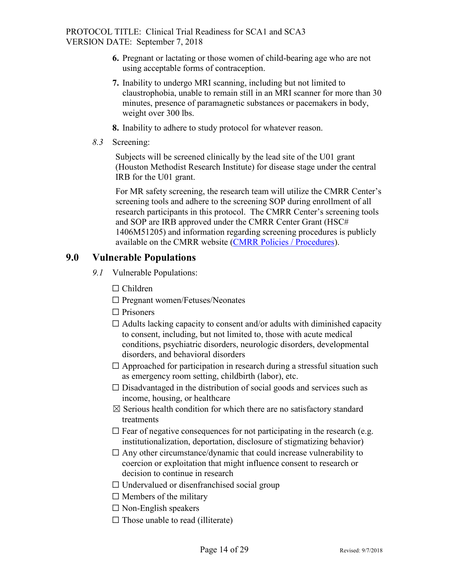- **6.** Pregnant or lactating or those women of child-bearing age who are not using acceptable forms of contraception.
- **7.** Inability to undergo MRI scanning, including but not limited to claustrophobia, unable to remain still in an MRI scanner for more than 30 minutes, presence of paramagnetic substances or pacemakers in body, weight over 300 lbs.
- **8.** Inability to adhere to study protocol for whatever reason.
- *8.3* Screening:

Subjects will be screened clinically by the lead site of the U01 grant (Houston Methodist Research Institute) for disease stage under the central IRB for the U01 grant.

For MR safety screening, the research team will utilize the CMRR Center's screening tools and adhere to the screening SOP during enrollment of all research participants in this protocol. The CMRR Center's screening tools and SOP are IRB approved under the CMRR Center Grant (HSC# 1406M51205) and information regarding screening procedures is publicly available on the CMRR website [\(CMRR Policies / Procedures\)](https://www.cmrr.umn.edu/policies/).

## <span id="page-13-0"></span>**9.0 Vulnerable Populations**

- *9.1* Vulnerable Populations:
	- ☐ Children
	- ☐ Pregnant women/Fetuses/Neonates
	- □ Prisoners
	- $\Box$  Adults lacking capacity to consent and/or adults with diminished capacity to consent, including, but not limited to, those with acute medical conditions, psychiatric disorders, neurologic disorders, developmental disorders, and behavioral disorders
	- $\Box$  Approached for participation in research during a stressful situation such as emergency room setting, childbirth (labor), etc.
	- $\Box$  Disadvantaged in the distribution of social goods and services such as income, housing, or healthcare
	- $\boxtimes$  Serious health condition for which there are no satisfactory standard treatments
	- $\Box$  Fear of negative consequences for not participating in the research (e.g. institutionalization, deportation, disclosure of stigmatizing behavior)
	- $\Box$  Any other circumstance/dynamic that could increase vulnerability to coercion or exploitation that might influence consent to research or decision to continue in research
	- $\Box$  Undervalued or disenfranchised social group
	- $\Box$  Members of the military
	- $\Box$  Non-English speakers
	- $\Box$  Those unable to read (illiterate)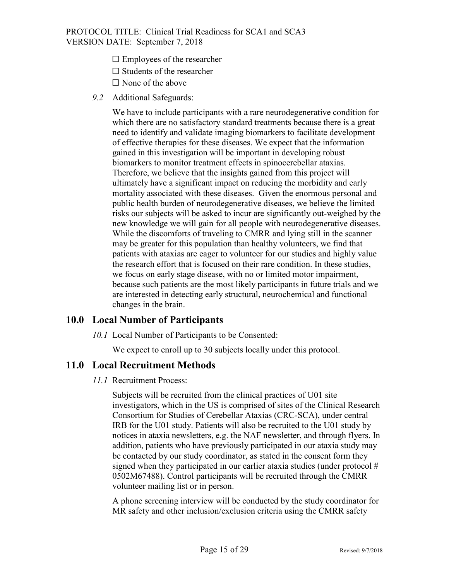- $\square$  Employees of the researcher
- $\Box$  Students of the researcher
- $\Box$  None of the above
- *9.2* Additional Safeguards:

We have to include participants with a rare neurodegenerative condition for which there are no satisfactory standard treatments because there is a great need to identify and validate imaging biomarkers to facilitate development of effective therapies for these diseases. We expect that the information gained in this investigation will be important in developing robust biomarkers to monitor treatment effects in spinocerebellar ataxias. Therefore, we believe that the insights gained from this project will ultimately have a significant impact on reducing the morbidity and early mortality associated with these diseases. Given the enormous personal and public health burden of neurodegenerative diseases, we believe the limited risks our subjects will be asked to incur are significantly out-weighed by the new knowledge we will gain for all people with neurodegenerative diseases. While the discomforts of traveling to CMRR and lying still in the scanner may be greater for this population than healthy volunteers, we find that patients with ataxias are eager to volunteer for our studies and highly value the research effort that is focused on their rare condition. In these studies, we focus on early stage disease, with no or limited motor impairment, because such patients are the most likely participants in future trials and we are interested in detecting early structural, neurochemical and functional changes in the brain.

#### <span id="page-14-0"></span>**10.0 Local Number of Participants**

*10.1* Local Number of Participants to be Consented:

We expect to enroll up to 30 subjects locally under this protocol.

#### <span id="page-14-1"></span>**11.0 Local Recruitment Methods**

#### *11.1* Recruitment Process:

Subjects will be recruited from the clinical practices of U01 site investigators, which in the US is comprised of sites of the Clinical Research Consortium for Studies of Cerebellar Ataxias (CRC-SCA), under central IRB for the U01 study. Patients will also be recruited to the U01 study by notices in ataxia newsletters, e.g. the NAF newsletter, and through flyers. In addition, patients who have previously participated in our ataxia study may be contacted by our study coordinator, as stated in the consent form they signed when they participated in our earlier ataxia studies (under protocol  $#$ 0502M67488). Control participants will be recruited through the CMRR volunteer mailing list or in person.

A phone screening interview will be conducted by the study coordinator for MR safety and other inclusion/exclusion criteria using the CMRR safety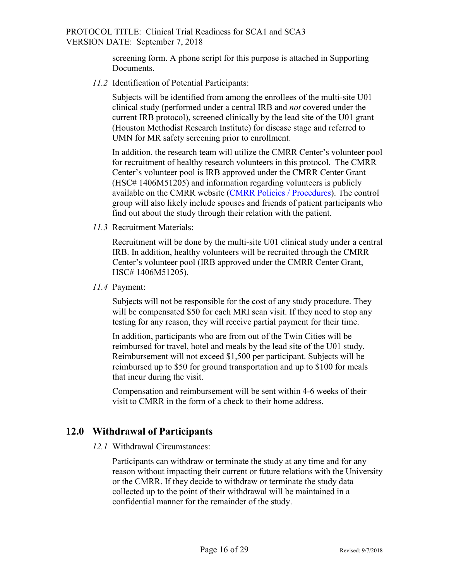screening form. A phone script for this purpose is attached in Supporting Documents.

*11.2* Identification of Potential Participants:

Subjects will be identified from among the enrollees of the multi-site U01 clinical study (performed under a central IRB and *not* covered under the current IRB protocol), screened clinically by the lead site of the U01 grant (Houston Methodist Research Institute) for disease stage and referred to UMN for MR safety screening prior to enrollment.

In addition, the research team will utilize the CMRR Center's volunteer pool for recruitment of healthy research volunteers in this protocol. The CMRR Center's volunteer pool is IRB approved under the CMRR Center Grant (HSC# 1406M51205) and information regarding volunteers is publicly available on the CMRR website [\(CMRR Policies / Procedures\)](https://www.cmrr.umn.edu/policies/). The control group will also likely include spouses and friends of patient participants who find out about the study through their relation with the patient.

*11.3* Recruitment Materials:

Recruitment will be done by the multi-site U01 clinical study under a central IRB. In addition, healthy volunteers will be recruited through the CMRR Center's volunteer pool (IRB approved under the CMRR Center Grant, HSC# 1406M51205).

*11.4* Payment:

Subjects will not be responsible for the cost of any study procedure. They will be compensated \$50 for each MRI scan visit. If they need to stop any testing for any reason, they will receive partial payment for their time.

In addition, participants who are from out of the Twin Cities will be reimbursed for travel, hotel and meals by the lead site of the U01 study. Reimbursement will not exceed \$1,500 per participant. Subjects will be reimbursed up to \$50 for ground transportation and up to \$100 for meals that incur during the visit.

Compensation and reimbursement will be sent within 4-6 weeks of their visit to CMRR in the form of a check to their home address.

#### <span id="page-15-0"></span>**12.0 Withdrawal of Participants**

*12.1* Withdrawal Circumstances:

Participants can withdraw or terminate the study at any time and for any reason without impacting their current or future relations with the University or the CMRR. If they decide to withdraw or terminate the study data collected up to the point of their withdrawal will be maintained in a confidential manner for the remainder of the study.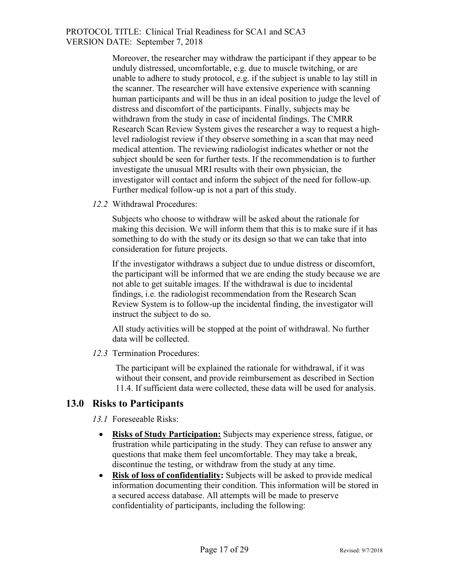> Moreover, the researcher may withdraw the participant if they appear to be unduly distressed, uncomfortable, e.g. due to muscle twitching, or are unable to adhere to study protocol, e.g. if the subject is unable to lay still in the scanner. The researcher will have extensive experience with scanning human participants and will be thus in an ideal position to judge the level of distress and discomfort of the participants. Finally, subjects may be withdrawn from the study in case of incidental findings. The CMRR Research Scan Review System gives the researcher a way to request a highlevel radiologist review if they observe something in a scan that may need medical attention. The reviewing radiologist indicates whether or not the subject should be seen for further tests. If the recommendation is to further investigate the unusual MRI results with their own physician, the investigator will contact and inform the subject of the need for follow-up. Further medical follow-up is not a part of this study.

*12.2* Withdrawal Procedures:

Subjects who choose to withdraw will be asked about the rationale for making this decision. We will inform them that this is to make sure if it has something to do with the study or its design so that we can take that into consideration for future projects.

If the investigator withdraws a subject due to undue distress or discomfort, the participant will be informed that we are ending the study because we are not able to get suitable images. If the withdrawal is due to incidental findings, i.e. the radiologist recommendation from the Research Scan Review System is to follow-up the incidental finding, the investigator will instruct the subject to do so.

All study activities will be stopped at the point of withdrawal. No further data will be collected.

*12.3* Termination Procedures:

The participant will be explained the rationale for withdrawal, if it was without their consent, and provide reimbursement as described in Section 11.4. If sufficient data were collected, these data will be used for analysis.

#### <span id="page-16-0"></span>**13.0 Risks to Participants**

*13.1* Foreseeable Risks:

- **Risks of Study Participation:** Subjects may experience stress, fatigue, or frustration while participating in the study. They can refuse to answer any questions that make them feel uncomfortable. They may take a break, discontinue the testing, or withdraw from the study at any time.
- **Risk of loss of confidentiality:** Subjects will be asked to provide medical information documenting their condition. This information will be stored in a secured access database. All attempts will be made to preserve confidentiality of participants, including the following: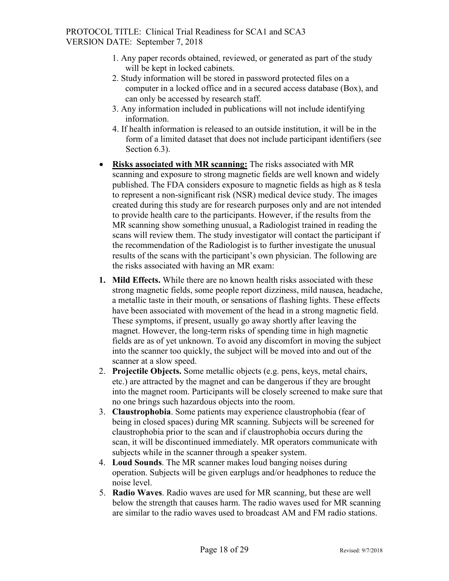- 1. Any paper records obtained, reviewed, or generated as part of the study will be kept in locked cabinets.
- 2. Study information will be stored in password protected files on a computer in a locked office and in a secured access database (Box), and can only be accessed by research staff.
- 3. Any information included in publications will not include identifying information.
- 4. If health information is released to an outside institution, it will be in the form of a limited dataset that does not include participant identifiers (see Section 6.3).
- **Risks associated with MR scanning:** The risks associated with MR scanning and exposure to strong magnetic fields are well known and widely published. The FDA considers exposure to magnetic fields as high as 8 tesla to represent a non-significant risk (NSR) medical device study. The images created during this study are for research purposes only and are not intended to provide health care to the participants. However, if the results from the MR scanning show something unusual, a Radiologist trained in reading the scans will review them. The study investigator will contact the participant if the recommendation of the Radiologist is to further investigate the unusual results of the scans with the participant's own physician. The following are the risks associated with having an MR exam:
- **1. Mild Effects.** While there are no known health risks associated with these strong magnetic fields, some people report dizziness, mild nausea, headache, a metallic taste in their mouth, or sensations of flashing lights. These effects have been associated with movement of the head in a strong magnetic field. These symptoms, if present, usually go away shortly after leaving the magnet. However, the long-term risks of spending time in high magnetic fields are as of yet unknown. To avoid any discomfort in moving the subject into the scanner too quickly, the subject will be moved into and out of the scanner at a slow speed.
- 2. **Projectile Objects.** Some metallic objects (e.g. pens, keys, metal chairs, etc.) are attracted by the magnet and can be dangerous if they are brought into the magnet room. Participants will be closely screened to make sure that no one brings such hazardous objects into the room.
- 3. **Claustrophobia**. Some patients may experience claustrophobia (fear of being in closed spaces) during MR scanning. Subjects will be screened for claustrophobia prior to the scan and if claustrophobia occurs during the scan, it will be discontinued immediately. MR operators communicate with subjects while in the scanner through a speaker system.
- 4. **Loud Sounds**. The MR scanner makes loud banging noises during operation. Subjects will be given earplugs and/or headphones to reduce the noise level.
- 5. **Radio Waves**. Radio waves are used for MR scanning, but these are well below the strength that causes harm. The radio waves used for MR scanning are similar to the radio waves used to broadcast AM and FM radio stations.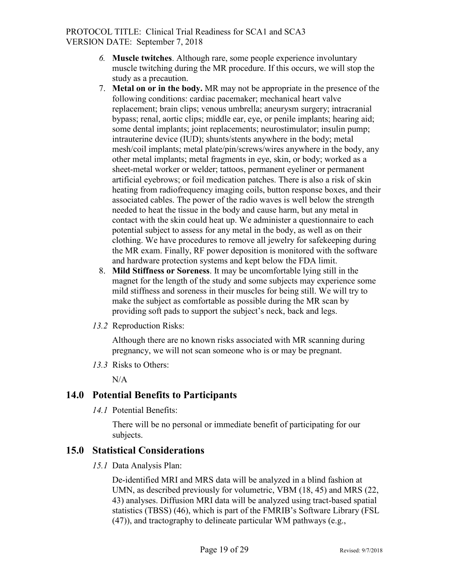- *6.* **Muscle twitches**. Although rare, some people experience involuntary muscle twitching during the MR procedure. If this occurs, we will stop the study as a precaution.
- 7. **Metal on or in the body.** MR may not be appropriate in the presence of the following conditions: cardiac pacemaker; mechanical heart valve replacement; brain clips; venous umbrella; aneurysm surgery; intracranial bypass; renal, aortic clips; middle ear, eye, or penile implants; hearing aid; some dental implants; joint replacements; neurostimulator; insulin pump; intrauterine device (IUD); shunts/stents anywhere in the body; metal mesh/coil implants; metal plate/pin/screws/wires anywhere in the body, any other metal implants; metal fragments in eye, skin, or body; worked as a sheet-metal worker or welder; tattoos, permanent eyeliner or permanent artificial eyebrows; or foil medication patches. There is also a risk of skin heating from radiofrequency imaging coils, button response boxes, and their associated cables. The power of the radio waves is well below the strength needed to heat the tissue in the body and cause harm, but any metal in contact with the skin could heat up. We administer a questionnaire to each potential subject to assess for any metal in the body, as well as on their clothing. We have procedures to remove all jewelry for safekeeping during the MR exam. Finally, RF power deposition is monitored with the software and hardware protection systems and kept below the FDA limit.
- 8. **Mild Stiffness or Soreness**. It may be uncomfortable lying still in the magnet for the length of the study and some subjects may experience some mild stiffness and soreness in their muscles for being still. We will try to make the subject as comfortable as possible during the MR scan by providing soft pads to support the subject's neck, back and legs.
- *13.2* Reproduction Risks:

Although there are no known risks associated with MR scanning during pregnancy, we will not scan someone who is or may be pregnant.

*13.3* Risks to Others:

N/A

#### <span id="page-18-0"></span>**14.0 Potential Benefits to Participants**

*14.1* Potential Benefits:

There will be no personal or immediate benefit of participating for our subjects.

#### <span id="page-18-1"></span>**15.0 Statistical Considerations**

*15.1* Data Analysis Plan:

De-identified MRI and MRS data will be analyzed in a blind fashion at UMN, as described previously for volumetric, VBM (18, 45) and MRS (22, 43) analyses. Diffusion MRI data will be analyzed using tract-based spatial statistics (TBSS) (46), which is part of the FMRIB's Software Library (FSL (47)), and tractography to delineate particular WM pathways (e.g.,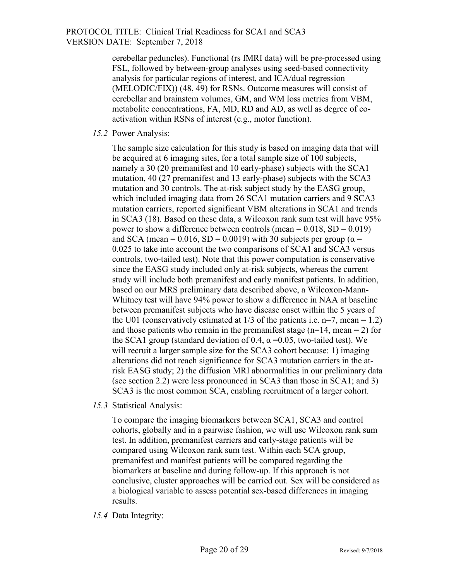cerebellar peduncles). Functional (rs fMRI data) will be pre-processed using FSL, followed by between-group analyses using seed-based connectivity analysis for particular regions of interest, and ICA/dual regression (MELODIC/FIX)) (48, 49) for RSNs. Outcome measures will consist of cerebellar and brainstem volumes, GM, and WM loss metrics from VBM, metabolite concentrations, FA, MD, RD and AD, as well as degree of coactivation within RSNs of interest (e.g., motor function).

*15.2* Power Analysis:

The sample size calculation for this study is based on imaging data that will be acquired at 6 imaging sites, for a total sample size of 100 subjects, namely a 30 (20 premanifest and 10 early-phase) subjects with the SCA1 mutation, 40 (27 premanifest and 13 early-phase) subjects with the SCA3 mutation and 30 controls. The at-risk subject study by the EASG group, which included imaging data from 26 SCA1 mutation carriers and 9 SCA3 mutation carriers, reported significant VBM alterations in SCA1 and trends in SCA3 (18). Based on these data, a Wilcoxon rank sum test will have 95% power to show a difference between controls (mean =  $0.018$ , SD =  $0.019$ ) and SCA (mean = 0.016, SD = 0.0019) with 30 subjects per group ( $\alpha$  = 0.025 to take into account the two comparisons of SCA1 and SCA3 versus controls, two-tailed test). Note that this power computation is conservative since the EASG study included only at-risk subjects, whereas the current study will include both premanifest and early manifest patients. In addition, based on our MRS preliminary data described above, a Wilcoxon-Mann-Whitney test will have 94% power to show a difference in NAA at baseline between premanifest subjects who have disease onset within the 5 years of the U01 (conservatively estimated at  $1/3$  of the patients i.e. n=7, mean = 1.2) and those patients who remain in the premanifest stage ( $n=14$ , mean = 2) for the SCA1 group (standard deviation of 0.4,  $\alpha$  =0.05, two-tailed test). We will recruit a larger sample size for the SCA3 cohort because: 1) imaging alterations did not reach significance for SCA3 mutation carriers in the atrisk EASG study; 2) the diffusion MRI abnormalities in our preliminary data (see section 2.2) were less pronounced in SCA3 than those in SCA1; and 3) SCA3 is the most common SCA, enabling recruitment of a larger cohort.

*15.3* Statistical Analysis:

To compare the imaging biomarkers between SCA1, SCA3 and control cohorts, globally and in a pairwise fashion, we will use Wilcoxon rank sum test. In addition, premanifest carriers and early-stage patients will be compared using Wilcoxon rank sum test. Within each SCA group, premanifest and manifest patients will be compared regarding the biomarkers at baseline and during follow-up. If this approach is not conclusive, cluster approaches will be carried out. Sex will be considered as a biological variable to assess potential sex-based differences in imaging results.

*15.4* Data Integrity: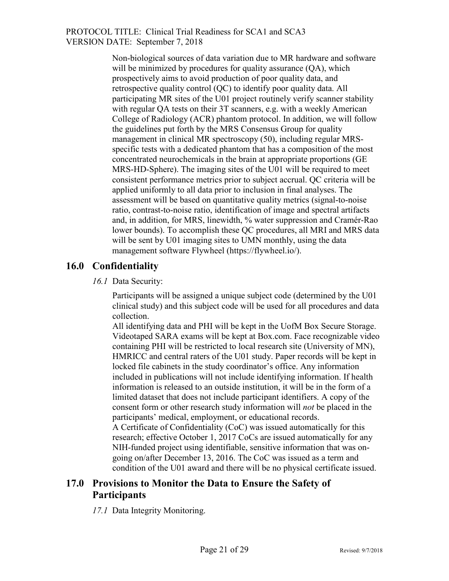> Non-biological sources of data variation due to MR hardware and software will be minimized by procedures for quality assurance (QA), which prospectively aims to avoid production of poor quality data, and retrospective quality control (QC) to identify poor quality data. All participating MR sites of the U01 project routinely verify scanner stability with regular QA tests on their 3T scanners, e.g. with a weekly American College of Radiology (ACR) phantom protocol. In addition, we will follow the guidelines put forth by the MRS Consensus Group for quality management in clinical MR spectroscopy (50), including regular MRSspecific tests with a dedicated phantom that has a composition of the most concentrated neurochemicals in the brain at appropriate proportions (GE MRS-HD-Sphere). The imaging sites of the U01 will be required to meet consistent performance metrics prior to subject accrual. QC criteria will be applied uniformly to all data prior to inclusion in final analyses. The assessment will be based on quantitative quality metrics (signal-to-noise ratio, contrast-to-noise ratio, identification of image and spectral artifacts and, in addition, for MRS, linewidth, % water suppression and Cramér-Rao lower bounds). To accomplish these QC procedures, all MRI and MRS data will be sent by U01 imaging sites to UMN monthly, using the data management software Flywheel (https://flywheel.io/).

## <span id="page-20-0"></span>**16.0 Confidentiality**

*16.1* Data Security:

Participants will be assigned a unique subject code (determined by the U01 clinical study) and this subject code will be used for all procedures and data collection.

All identifying data and PHI will be kept in the UofM Box Secure Storage. Videotaped SARA exams will be kept at Box.com. Face recognizable video containing PHI will be restricted to local research site (University of MN), HMRICC and central raters of the U01 study. Paper records will be kept in locked file cabinets in the study coordinator's office. Any information included in publications will not include identifying information. If health information is released to an outside institution, it will be in the form of a limited dataset that does not include participant identifiers. A copy of the consent form or other research study information will *not* be placed in the participants' medical, employment, or educational records.

A Certificate of Confidentiality (CoC) was issued automatically for this research; effective October 1, 2017 CoCs are issued automatically for any NIH-funded project using identifiable, sensitive information that was ongoing on/after December 13, 2016. The CoC was issued as a term and condition of the U01 award and there will be no physical certificate issued.

## <span id="page-20-1"></span>**17.0 Provisions to Monitor the Data to Ensure the Safety of Participants**

*17.1* Data Integrity Monitoring.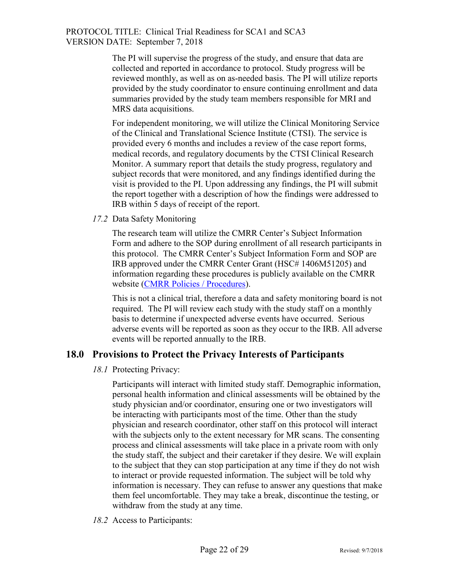> The PI will supervise the progress of the study, and ensure that data are collected and reported in accordance to protocol. Study progress will be reviewed monthly, as well as on as-needed basis. The PI will utilize reports provided by the study coordinator to ensure continuing enrollment and data summaries provided by the study team members responsible for MRI and MRS data acquisitions.

> For independent monitoring, we will utilize the Clinical Monitoring Service of the Clinical and Translational Science Institute (CTSI). The service is provided every 6 months and includes a review of the case report forms, medical records, and regulatory documents by the CTSI Clinical Research Monitor. A summary report that details the study progress, regulatory and subject records that were monitored, and any findings identified during the visit is provided to the PI. Upon addressing any findings, the PI will submit the report together with a description of how the findings were addressed to IRB within 5 days of receipt of the report.

*17.2* Data Safety Monitoring

The research team will utilize the CMRR Center's Subject Information Form and adhere to the SOP during enrollment of all research participants in this protocol. The CMRR Center's Subject Information Form and SOP are IRB approved under the CMRR Center Grant (HSC# 1406M51205) and information regarding these procedures is publicly available on the CMRR website [\(CMRR Policies / Procedures\)](https://www.cmrr.umn.edu/policies/).

This is not a clinical trial, therefore a data and safety monitoring board is not required. The PI will review each study with the study staff on a monthly basis to determine if unexpected adverse events have occurred. Serious adverse events will be reported as soon as they occur to the IRB. All adverse events will be reported annually to the IRB.

#### <span id="page-21-0"></span>**18.0 Provisions to Protect the Privacy Interests of Participants**

#### *18.1* Protecting Privacy:

Participants will interact with limited study staff. Demographic information, personal health information and clinical assessments will be obtained by the study physician and/or coordinator, ensuring one or two investigators will be interacting with participants most of the time. Other than the study physician and research coordinator, other staff on this protocol will interact with the subjects only to the extent necessary for MR scans. The consenting process and clinical assessments will take place in a private room with only the study staff, the subject and their caretaker if they desire. We will explain to the subject that they can stop participation at any time if they do not wish to interact or provide requested information. The subject will be told why information is necessary. They can refuse to answer any questions that make them feel uncomfortable. They may take a break, discontinue the testing, or withdraw from the study at any time.

*18.2* Access to Participants: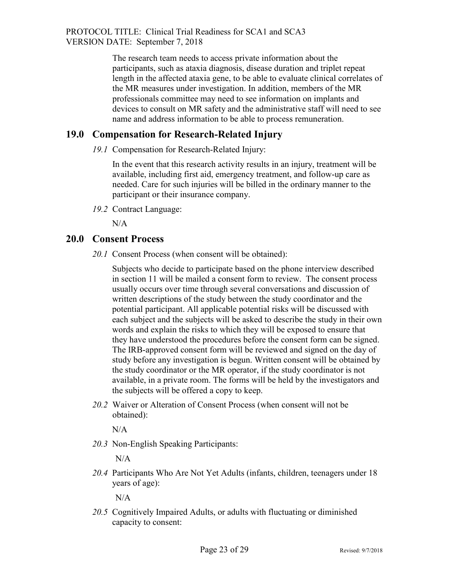The research team needs to access private information about the participants, such as ataxia diagnosis, disease duration and triplet repeat length in the affected ataxia gene, to be able to evaluate clinical correlates of the MR measures under investigation. In addition, members of the MR professionals committee may need to see information on implants and devices to consult on MR safety and the administrative staff will need to see name and address information to be able to process remuneration.

## <span id="page-22-0"></span>**19.0 Compensation for Research-Related Injury**

*19.1* Compensation for Research-Related Injury:

In the event that this research activity results in an injury, treatment will be available, including first aid, emergency treatment, and follow-up care as needed. Care for such injuries will be billed in the ordinary manner to the participant or their insurance company.

*19.2* Contract Language:

N/A

#### <span id="page-22-1"></span>**20.0 Consent Process**

*20.1* Consent Process (when consent will be obtained):

Subjects who decide to participate based on the phone interview described in section 11 will be mailed a consent form to review. The consent process usually occurs over time through several conversations and discussion of written descriptions of the study between the study coordinator and the potential participant. All applicable potential risks will be discussed with each subject and the subjects will be asked to describe the study in their own words and explain the risks to which they will be exposed to ensure that they have understood the procedures before the consent form can be signed. The IRB-approved consent form will be reviewed and signed on the day of study before any investigation is begun. Written consent will be obtained by the study coordinator or the MR operator, if the study coordinator is not available, in a private room. The forms will be held by the investigators and the subjects will be offered a copy to keep.

*20.2* Waiver or Alteration of Consent Process (when consent will not be obtained):

 $N/A$ 

*20.3* Non-English Speaking Participants:

 $N/A$ 

*20.4* Participants Who Are Not Yet Adults (infants, children, teenagers under 18 years of age):

 $N/A$ 

*20.5* Cognitively Impaired Adults, or adults with fluctuating or diminished capacity to consent: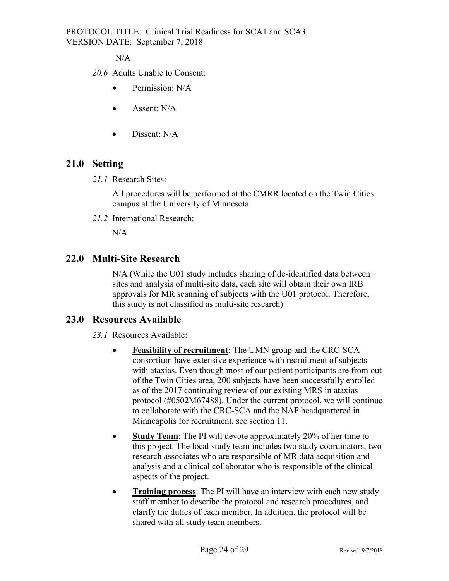$N/A$ 

- *20.6* Adults Unable to Consent:
	- Permission: N/A
	- Assent: N/A
	- Dissent: N/A

#### <span id="page-23-0"></span>**21.0 Setting**

*21.1* Research Sites:

All procedures will be performed at the CMRR located on the Twin Cities campus at the University of Minnesota.

*21.2* International Research:

N/A

#### <span id="page-23-1"></span>**22.0 Multi-Site Research**

N/A (While the U01 study includes sharing of de-identified data between sites and analysis of multi-site data, each site will obtain their own IRB approvals for MR scanning of subjects with the U01 protocol. Therefore, this study is not classified as multi-site research).

#### <span id="page-23-2"></span>**23.0 Resources Available**

*23.1* Resources Available:

- **Feasibility of recruitment**: The UMN group and the CRC-SCA consortium have extensive experience with recruitment of subjects with ataxias. Even though most of our patient participants are from out of the Twin Cities area, 200 subjects have been successfully enrolled as of the 2017 continuing review of our existing MRS in ataxias protocol (#0502M67488). Under the current protocol, we will continue to collaborate with the CRC-SCA and the NAF headquartered in Minneapolis for recruitment, see section 11.
- **Study Team**: The PI will devote approximately 20% of her time to this project. The local study team includes two study coordinators, two research associates who are responsible of MR data acquisition and analysis and a clinical collaborator who is responsible of the clinical aspects of the project.
- **Training process**: The PI will have an interview with each new study staff member to describe the protocol and research procedures, and clarify the duties of each member. In addition, the protocol will be shared with all study team members.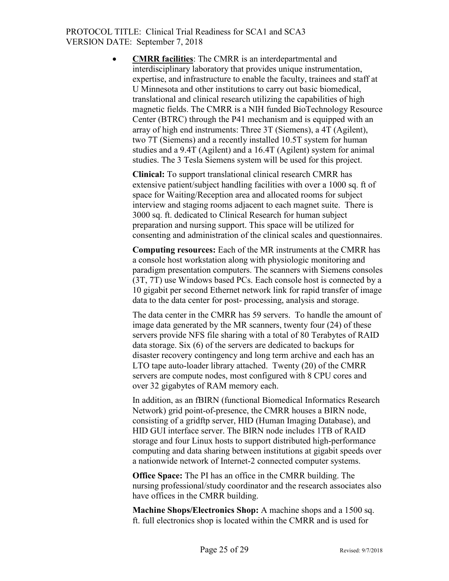• **CMRR facilities**: The CMRR is an interdepartmental and interdisciplinary laboratory that provides unique instrumentation, expertise, and infrastructure to enable the faculty, trainees and staff at U Minnesota and other institutions to carry out basic biomedical, translational and clinical research utilizing the capabilities of high magnetic fields. The CMRR is a NIH funded BioTechnology Resource Center (BTRC) through the P41 mechanism and is equipped with an array of high end instruments: Three 3T (Siemens), a 4T (Agilent), two 7T (Siemens) and a recently installed 10.5T system for human studies and a 9.4T (Agilent) and a 16.4T (Agilent) system for animal studies. The 3 Tesla Siemens system will be used for this project.

**Clinical:** To support translational clinical research CMRR has extensive patient/subject handling facilities with over a 1000 sq. ft of space for Waiting/Reception area and allocated rooms for subject interview and staging rooms adjacent to each magnet suite. There is 3000 sq. ft. dedicated to Clinical Research for human subject preparation and nursing support. This space will be utilized for consenting and administration of the clinical scales and questionnaires.

**Computing resources:** Each of the MR instruments at the CMRR has a console host workstation along with physiologic monitoring and paradigm presentation computers. The scanners with Siemens consoles (3T, 7T) use Windows based PCs. Each console host is connected by a 10 gigabit per second Ethernet network link for rapid transfer of image data to the data center for post- processing, analysis and storage.

The data center in the CMRR has 59 servers. To handle the amount of image data generated by the MR scanners, twenty four (24) of these servers provide NFS file sharing with a total of 80 Terabytes of RAID data storage. Six (6) of the servers are dedicated to backups for disaster recovery contingency and long term archive and each has an LTO tape auto-loader library attached. Twenty (20) of the CMRR servers are compute nodes, most configured with 8 CPU cores and over 32 gigabytes of RAM memory each.

In addition, as an fBIRN (functional Biomedical Informatics Research Network) grid point-of-presence, the CMRR houses a BIRN node, consisting of a gridftp server, HID (Human Imaging Database), and HID GUI interface server. The BIRN node includes 1TB of RAID storage and four Linux hosts to support distributed high-performance computing and data sharing between institutions at gigabit speeds over a nationwide network of Internet-2 connected computer systems.

**Office Space:** The PI has an office in the CMRR building. The nursing professional/study coordinator and the research associates also have offices in the CMRR building.

**Machine Shops/Electronics Shop:** A machine shops and a 1500 sq. ft. full electronics shop is located within the CMRR and is used for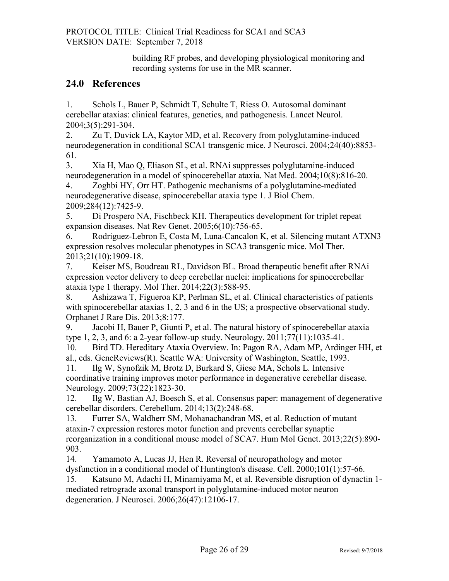building RF probes, and developing physiological monitoring and recording systems for use in the MR scanner.

#### <span id="page-25-0"></span>**24.0 References**

1. Schols L, Bauer P, Schmidt T, Schulte T, Riess O. Autosomal dominant cerebellar ataxias: clinical features, genetics, and pathogenesis. Lancet Neurol. 2004;3(5):291-304.

2. Zu T, Duvick LA, Kaytor MD, et al. Recovery from polyglutamine-induced neurodegeneration in conditional SCA1 transgenic mice. J Neurosci. 2004;24(40):8853- 61.

3. Xia H, Mao Q, Eliason SL, et al. RNAi suppresses polyglutamine-induced neurodegeneration in a model of spinocerebellar ataxia. Nat Med. 2004;10(8):816-20.

4. Zoghbi HY, Orr HT. Pathogenic mechanisms of a polyglutamine-mediated neurodegenerative disease, spinocerebellar ataxia type 1. J Biol Chem. 2009;284(12):7425-9.

5. Di Prospero NA, Fischbeck KH. Therapeutics development for triplet repeat expansion diseases. Nat Rev Genet. 2005;6(10):756-65.

6. Rodriguez-Lebron E, Costa M, Luna-Cancalon K, et al. Silencing mutant ATXN3 expression resolves molecular phenotypes in SCA3 transgenic mice. Mol Ther. 2013;21(10):1909-18.

7. Keiser MS, Boudreau RL, Davidson BL. Broad therapeutic benefit after RNAi expression vector delivery to deep cerebellar nuclei: implications for spinocerebellar ataxia type 1 therapy. Mol Ther. 2014;22(3):588-95.

8. Ashizawa T, Figueroa KP, Perlman SL, et al. Clinical characteristics of patients with spinocerebellar ataxias 1, 2, 3 and 6 in the US; a prospective observational study. Orphanet J Rare Dis. 2013;8:177.

9. Jacobi H, Bauer P, Giunti P, et al. The natural history of spinocerebellar ataxia type 1, 2, 3, and 6: a 2-year follow-up study. Neurology. 2011;77(11):1035-41.

10. Bird TD. Hereditary Ataxia Overview. In: Pagon RA, Adam MP, Ardinger HH, et al., eds. GeneReviews(R). Seattle WA: University of Washington, Seattle, 1993.

11. Ilg W, Synofzik M, Brotz D, Burkard S, Giese MA, Schols L. Intensive coordinative training improves motor performance in degenerative cerebellar disease. Neurology. 2009;73(22):1823-30.

12. Ilg W, Bastian AJ, Boesch S, et al. Consensus paper: management of degenerative cerebellar disorders. Cerebellum. 2014;13(2):248-68.

13. Furrer SA, Waldherr SM, Mohanachandran MS, et al. Reduction of mutant ataxin-7 expression restores motor function and prevents cerebellar synaptic reorganization in a conditional mouse model of SCA7. Hum Mol Genet. 2013;22(5):890- 903.

14. Yamamoto A, Lucas JJ, Hen R. Reversal of neuropathology and motor dysfunction in a conditional model of Huntington's disease. Cell. 2000;101(1):57-66.

15. Katsuno M, Adachi H, Minamiyama M, et al. Reversible disruption of dynactin 1 mediated retrograde axonal transport in polyglutamine-induced motor neuron degeneration. J Neurosci. 2006;26(47):12106-17.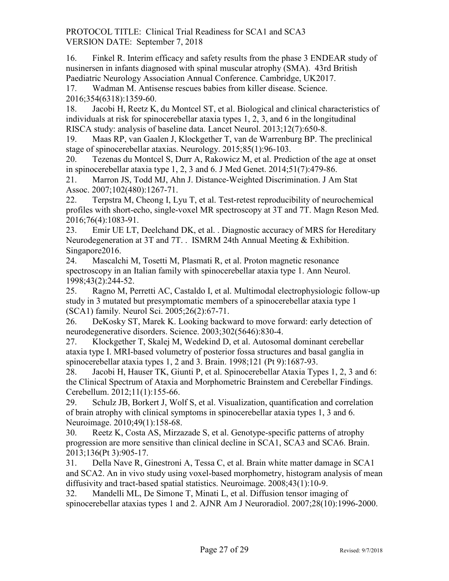16. Finkel R. Interim efficacy and safety results from the phase 3 ENDEAR study of nusinersen in infants diagnosed with spinal muscular atrophy (SMA). 43rd British Paediatric Neurology Association Annual Conference. Cambridge, UK2017.

17. Wadman M. Antisense rescues babies from killer disease. Science. 2016;354(6318):1359-60.

18. Jacobi H, Reetz K, du Montcel ST, et al. Biological and clinical characteristics of individuals at risk for spinocerebellar ataxia types 1, 2, 3, and 6 in the longitudinal RISCA study: analysis of baseline data. Lancet Neurol. 2013;12(7):650-8.

19. Maas RP, van Gaalen J, Klockgether T, van de Warrenburg BP. The preclinical stage of spinocerebellar ataxias. Neurology. 2015;85(1):96-103.

20. Tezenas du Montcel S, Durr A, Rakowicz M, et al. Prediction of the age at onset in spinocerebellar ataxia type 1, 2, 3 and 6. J Med Genet. 2014;51(7):479-86.

21. Marron JS, Todd MJ, Ahn J. Distance-Weighted Discrimination. J Am Stat Assoc. 2007;102(480):1267-71.

22. Terpstra M, Cheong I, Lyu T, et al. Test-retest reproducibility of neurochemical profiles with short-echo, single-voxel MR spectroscopy at 3T and 7T. Magn Reson Med. 2016;76(4):1083-91.

23. Emir UE LT, Deelchand DK, et al. . Diagnostic accuracy of MRS for Hereditary Neurodegeneration at 3T and 7T. . ISMRM 24th Annual Meeting & Exhibition. Singapore2016.

24. Mascalchi M, Tosetti M, Plasmati R, et al. Proton magnetic resonance spectroscopy in an Italian family with spinocerebellar ataxia type 1. Ann Neurol. 1998;43(2):244-52.

25. Ragno M, Perretti AC, Castaldo I, et al. Multimodal electrophysiologic follow-up study in 3 mutated but presymptomatic members of a spinocerebellar ataxia type 1 (SCA1) family. Neurol Sci. 2005;26(2):67-71.

26. DeKosky ST, Marek K. Looking backward to move forward: early detection of neurodegenerative disorders. Science. 2003;302(5646):830-4.

27. Klockgether T, Skalej M, Wedekind D, et al. Autosomal dominant cerebellar ataxia type I. MRI-based volumetry of posterior fossa structures and basal ganglia in spinocerebellar ataxia types 1, 2 and 3. Brain. 1998;121 (Pt 9):1687-93.

28. Jacobi H, Hauser TK, Giunti P, et al. Spinocerebellar Ataxia Types 1, 2, 3 and 6: the Clinical Spectrum of Ataxia and Morphometric Brainstem and Cerebellar Findings. Cerebellum. 2012;11(1):155-66.

29. Schulz JB, Borkert J, Wolf S, et al. Visualization, quantification and correlation of brain atrophy with clinical symptoms in spinocerebellar ataxia types 1, 3 and 6. Neuroimage. 2010;49(1):158-68.

30. Reetz K, Costa AS, Mirzazade S, et al. Genotype-specific patterns of atrophy progression are more sensitive than clinical decline in SCA1, SCA3 and SCA6. Brain. 2013;136(Pt 3):905-17.

31. Della Nave R, Ginestroni A, Tessa C, et al. Brain white matter damage in SCA1 and SCA2. An in vivo study using voxel-based morphometry, histogram analysis of mean diffusivity and tract-based spatial statistics. Neuroimage. 2008;43(1):10-9.

32. Mandelli ML, De Simone T, Minati L, et al. Diffusion tensor imaging of spinocerebellar ataxias types 1 and 2. AJNR Am J Neuroradiol. 2007;28(10):1996-2000.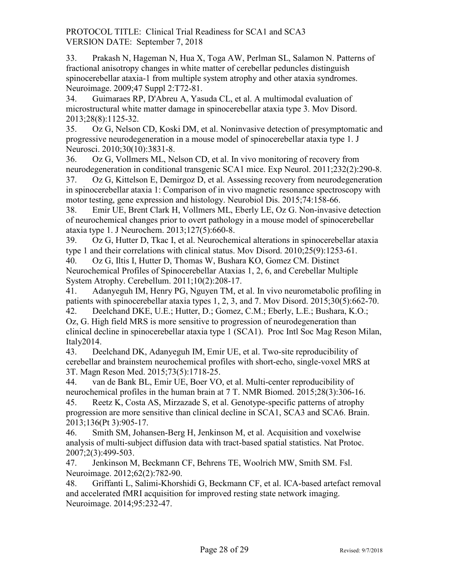33. Prakash N, Hageman N, Hua X, Toga AW, Perlman SL, Salamon N. Patterns of fractional anisotropy changes in white matter of cerebellar peduncles distinguish spinocerebellar ataxia-1 from multiple system atrophy and other ataxia syndromes. Neuroimage. 2009;47 Suppl 2:T72-81.

34. Guimaraes RP, D'Abreu A, Yasuda CL, et al. A multimodal evaluation of microstructural white matter damage in spinocerebellar ataxia type 3. Mov Disord. 2013;28(8):1125-32.

35. Oz G, Nelson CD, Koski DM, et al. Noninvasive detection of presymptomatic and progressive neurodegeneration in a mouse model of spinocerebellar ataxia type 1. J Neurosci. 2010;30(10):3831-8.

36. Oz G, Vollmers ML, Nelson CD, et al. In vivo monitoring of recovery from neurodegeneration in conditional transgenic SCA1 mice. Exp Neurol. 2011;232(2):290-8.

37. Oz G, Kittelson E, Demirgoz D, et al. Assessing recovery from neurodegeneration in spinocerebellar ataxia 1: Comparison of in vivo magnetic resonance spectroscopy with motor testing, gene expression and histology. Neurobiol Dis. 2015;74:158-66.

38. Emir UE, Brent Clark H, Vollmers ML, Eberly LE, Oz G. Non-invasive detection of neurochemical changes prior to overt pathology in a mouse model of spinocerebellar ataxia type 1. J Neurochem. 2013;127(5):660-8.

39. Oz G, Hutter D, Tkac I, et al. Neurochemical alterations in spinocerebellar ataxia type 1 and their correlations with clinical status. Mov Disord. 2010;25(9):1253-61.

40. Oz G, Iltis I, Hutter D, Thomas W, Bushara KO, Gomez CM. Distinct Neurochemical Profiles of Spinocerebellar Ataxias 1, 2, 6, and Cerebellar Multiple System Atrophy. Cerebellum. 2011;10(2):208-17.

41. Adanyeguh IM, Henry PG, Nguyen TM, et al. In vivo neurometabolic profiling in patients with spinocerebellar ataxia types 1, 2, 3, and 7. Mov Disord. 2015;30(5):662-70. 42. Deelchand DKE, U.E.; Hutter, D.; Gomez, C.M.; Eberly, L.E.; Bushara, K.O.; Oz, G. High field MRS is more sensitive to progression of neurodegeneration than clinical decline in spinocerebellar ataxia type 1 (SCA1). Proc Intl Soc Mag Reson Milan, Italy2014.

43. Deelchand DK, Adanyeguh IM, Emir UE, et al. Two-site reproducibility of cerebellar and brainstem neurochemical profiles with short-echo, single-voxel MRS at 3T. Magn Reson Med. 2015;73(5):1718-25.

44. van de Bank BL, Emir UE, Boer VO, et al. Multi-center reproducibility of neurochemical profiles in the human brain at 7 T. NMR Biomed. 2015;28(3):306-16.

45. Reetz K, Costa AS, Mirzazade S, et al. Genotype-specific patterns of atrophy progression are more sensitive than clinical decline in SCA1, SCA3 and SCA6. Brain. 2013;136(Pt 3):905-17.

46. Smith SM, Johansen-Berg H, Jenkinson M, et al. Acquisition and voxelwise analysis of multi-subject diffusion data with tract-based spatial statistics. Nat Protoc. 2007;2(3):499-503.

47. Jenkinson M, Beckmann CF, Behrens TE, Woolrich MW, Smith SM. Fsl. Neuroimage. 2012;62(2):782-90.

48. Griffanti L, Salimi-Khorshidi G, Beckmann CF, et al. ICA-based artefact removal and accelerated fMRI acquisition for improved resting state network imaging. Neuroimage. 2014;95:232-47.